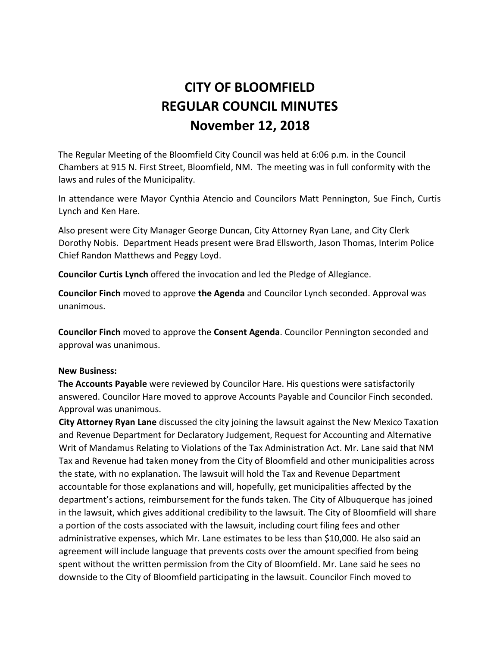# **CITY OF BLOOMFIELD REGULAR COUNCIL MINUTES November 12, 2018**

The Regular Meeting of the Bloomfield City Council was held at 6:06 p.m. in the Council Chambers at 915 N. First Street, Bloomfield, NM. The meeting was in full conformity with the laws and rules of the Municipality.

In attendance were Mayor Cynthia Atencio and Councilors Matt Pennington, Sue Finch, Curtis Lynch and Ken Hare.

Also present were City Manager George Duncan, City Attorney Ryan Lane, and City Clerk Dorothy Nobis. Department Heads present were Brad Ellsworth, Jason Thomas, Interim Police Chief Randon Matthews and Peggy Loyd.

**Councilor Curtis Lynch** offered the invocation and led the Pledge of Allegiance.

**Councilor Finch** moved to approve **the Agenda** and Councilor Lynch seconded. Approval was unanimous.

**Councilor Finch** moved to approve the **Consent Agenda**. Councilor Pennington seconded and approval was unanimous.

## **New Business:**

**The Accounts Payable** were reviewed by Councilor Hare. His questions were satisfactorily answered. Councilor Hare moved to approve Accounts Payable and Councilor Finch seconded. Approval was unanimous.

**City Attorney Ryan Lane** discussed the city joining the lawsuit against the New Mexico Taxation and Revenue Department for Declaratory Judgement, Request for Accounting and Alternative Writ of Mandamus Relating to Violations of the Tax Administration Act. Mr. Lane said that NM Tax and Revenue had taken money from the City of Bloomfield and other municipalities across the state, with no explanation. The lawsuit will hold the Tax and Revenue Department accountable for those explanations and will, hopefully, get municipalities affected by the department's actions, reimbursement for the funds taken. The City of Albuquerque has joined in the lawsuit, which gives additional credibility to the lawsuit. The City of Bloomfield will share a portion of the costs associated with the lawsuit, including court filing fees and other administrative expenses, which Mr. Lane estimates to be less than \$10,000. He also said an agreement will include language that prevents costs over the amount specified from being spent without the written permission from the City of Bloomfield. Mr. Lane said he sees no downside to the City of Bloomfield participating in the lawsuit. Councilor Finch moved to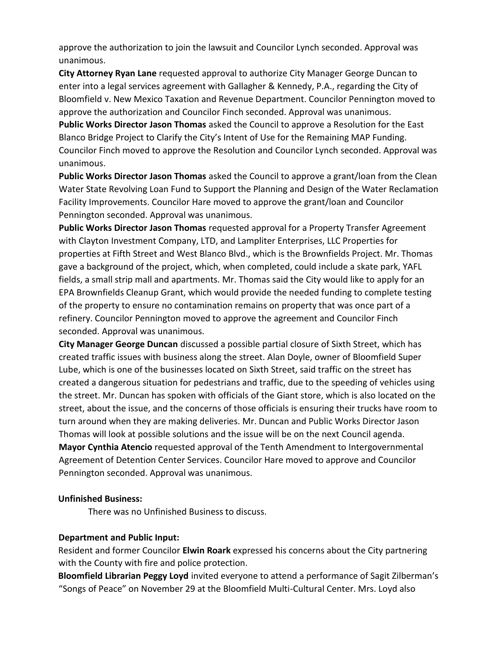approve the authorization to join the lawsuit and Councilor Lynch seconded. Approval was unanimous.

**City Attorney Ryan Lane** requested approval to authorize City Manager George Duncan to enter into a legal services agreement with Gallagher & Kennedy, P.A., regarding the City of Bloomfield v. New Mexico Taxation and Revenue Department. Councilor Pennington moved to approve the authorization and Councilor Finch seconded. Approval was unanimous.

**Public Works Director Jason Thomas** asked the Council to approve a Resolution for the East Blanco Bridge Project to Clarify the City's Intent of Use for the Remaining MAP Funding. Councilor Finch moved to approve the Resolution and Councilor Lynch seconded. Approval was unanimous.

**Public Works Director Jason Thomas** asked the Council to approve a grant/loan from the Clean Water State Revolving Loan Fund to Support the Planning and Design of the Water Reclamation Facility Improvements. Councilor Hare moved to approve the grant/loan and Councilor Pennington seconded. Approval was unanimous.

**Public Works Director Jason Thomas** requested approval for a Property Transfer Agreement with Clayton Investment Company, LTD, and Lampliter Enterprises, LLC Properties for properties at Fifth Street and West Blanco Blvd., which is the Brownfields Project. Mr. Thomas gave a background of the project, which, when completed, could include a skate park, YAFL fields, a small strip mall and apartments. Mr. Thomas said the City would like to apply for an EPA Brownfields Cleanup Grant, which would provide the needed funding to complete testing of the property to ensure no contamination remains on property that was once part of a refinery. Councilor Pennington moved to approve the agreement and Councilor Finch seconded. Approval was unanimous.

**City Manager George Duncan** discussed a possible partial closure of Sixth Street, which has created traffic issues with business along the street. Alan Doyle, owner of Bloomfield Super Lube, which is one of the businesses located on Sixth Street, said traffic on the street has created a dangerous situation for pedestrians and traffic, due to the speeding of vehicles using the street. Mr. Duncan has spoken with officials of the Giant store, which is also located on the street, about the issue, and the concerns of those officials is ensuring their trucks have room to turn around when they are making deliveries. Mr. Duncan and Public Works Director Jason Thomas will look at possible solutions and the issue will be on the next Council agenda. **Mayor Cynthia Atencio** requested approval of the Tenth Amendment to Intergovernmental Agreement of Detention Center Services. Councilor Hare moved to approve and Councilor Pennington seconded. Approval was unanimous.

## **Unfinished Business:**

There was no Unfinished Business to discuss.

## **Department and Public Input:**

Resident and former Councilor **Elwin Roark** expressed his concerns about the City partnering with the County with fire and police protection.

**Bloomfield Librarian Peggy Loyd** invited everyone to attend a performance of Sagit Zilberman's "Songs of Peace" on November 29 at the Bloomfield Multi-Cultural Center. Mrs. Loyd also